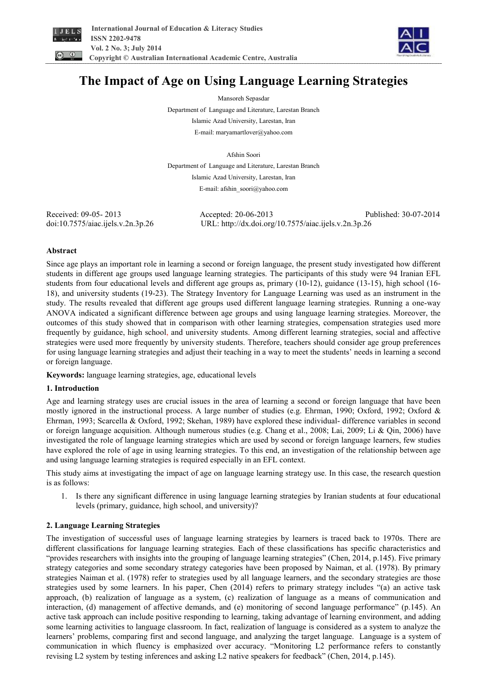



# **The Impact of Age on Using Language Learning Strategies**

Mansoreh Sepasdar

Department of Language and Literature, Larestan Branch Islamic Azad University, Larestan, Iran

E-mail: maryamartlover@yahoo.com

Afshin Soori

Department of Language and Literature, Larestan Branch Islamic Azad University, Larestan, Iran E-mail: afshin\_soori@yahoo.com

Received: 09-05- 2013 Accepted: 20-06-2013 Published: 30-07-2014 doi:10.7575/aiac.ijels.v.2n.3p.26 URL: http://dx.doi.org/10.7575/aiac.ijels.v.2n.3p.26

# **Abstract**

Since age plays an important role in learning a second or foreign language, the present study investigated how different students in different age groups used language learning strategies. The participants of this study were 94 Iranian EFL students from four educational levels and different age groups as, primary (10-12), guidance (13-15), high school (16- 18), and university students (19-23). The Strategy Inventory for Language Learning was used as an instrument in the study. The results revealed that different age groups used different language learning strategies. Running a one-way ANOVA indicated a significant difference between age groups and using language learning strategies. Moreover, the outcomes of this study showed that in comparison with other learning strategies, compensation strategies used more frequently by guidance, high school, and university students. Among different learning strategies, social and affective strategies were used more frequently by university students. Therefore, teachers should consider age group preferences for using language learning strategies and adjust their teaching in a way to meet the students' needs in learning a second or foreign language.

**Keywords:** language learning strategies, age, educational levels

# **1. Introduction**

Age and learning strategy uses are crucial issues in the area of learning a second or foreign language that have been mostly ignored in the instructional process. A large number of studies (e.g. Ehrman, 1990; Oxford, 1992; Oxford & Ehrman, 1993; Scarcella & Oxford, 1992; Skehan, 1989) have explored these individual- difference variables in second or foreign language acquisition. Although numerous studies (e.g. Chang et al., 2008; Lai, 2009; Li & Qin, 2006) have investigated the role of language learning strategies which are used by second or foreign language learners, few studies have explored the role of age in using learning strategies. To this end, an investigation of the relationship between age and using language learning strategies is required especially in an EFL context.

This study aims at investigating the impact of age on language learning strategy use. In this case, the research question is as follows:

1. Is there any significant difference in using language learning strategies by Iranian students at four educational levels (primary, guidance, high school, and university)?

# **2. Language Learning Strategies**

The investigation of successful uses of language learning strategies by learners is traced back to 1970s. There are different classifications for language learning strategies. Each of these classifications has specific characteristics and "provides researchers with insights into the grouping of language learning strategies" (Chen, 2014, p.145). Five primary strategy categories and some secondary strategy categories have been proposed by Naiman, et al. (1978). By primary strategies Naiman et al. (1978) refer to strategies used by all language learners, and the secondary strategies are those strategies used by some learners. In his paper, Chen (2014) refers to primary strategy includes "(a) an active task approach, (b) realization of language as a system, (c) realization of language as a means of communication and interaction, (d) management of affective demands, and (e) monitoring of second language performance" (p.145). An active task approach can include positive responding to learning, taking advantage of learning environment, and adding some learning activities to language classroom. In fact, realization of language is considered as a system to analyze the learners' problems, comparing first and second language, and analyzing the target language. Language is a system of communication in which fluency is emphasized over accuracy. "Monitoring L2 performance refers to constantly revising L2 system by testing inferences and asking L2 native speakers for feedback" (Chen, 2014, p.145).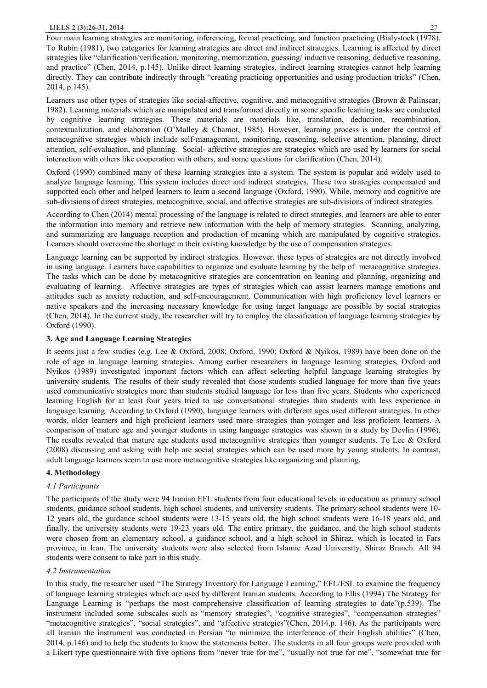Four main learning strategies are monitoring, inferencing, formal practicing, and function practicing (Bialystock (1978). To Rubin (1981), two categories for learning strategies are direct and indirect strategies. Learning is affected by direct strategies like "clarification/verification, monitoring, memorization, guessing/ inductive reasoning, deductive reasoning, and practice" (Chen, 2014, p.145). Unlike direct learning strategies, indirect learning strategies cannot help learning directly. They can contribute indirectly through "creating practicing opportunities and using production tricks" (Chen, 2014, p.145).

Learners use other types of strategies like social-affective, cognitive, and metacognitive strategies (Brown & Palinscar, 1982). Learning materials which are manipulated and transformed directly in some specific learning tasks are conducted by cognitive learning strategies. These materials are materials like, translation, deduction, recombination, contextualization, and elaboration (O'Malley & Chamot, 1985). However, learning process is under the control of metacognitive strategies which include self-management, monitoring, reasoning, selective attention, planning, direct attention, self-evaluation, and planning. Social- affective strategies are strategies which are used by learners for social interaction with others like cooperation with others, and some questions for clarification (Chen, 2014).

Oxford (1990) combined many of these learning strategies into a system. The system is popular and widely used to analyze language learning. This system includes direct and indirect strategies. These two strategies compensated and supported each other and helped learners to learn a second language (Oxford, 1990). While, memory and cognitive are sub-divisions of direct strategies, metacognitive, social, and affective strategies are sub-divisions of indirect strategies.

According to Chen (2014) mental processing of the language is related to direct strategies, and learners are able to enter the information into memory and retrieve new information with the help of memory strategies. Scanning, analyzing, and summarizing are language reception and production of meaning which are manipulated by cognitive strategies. Learners should overcome the shortage in their existing knowledge by the use of compensation strategies.

Language learning can be supported by indirect strategies. However, these types of strategies are not directly involved in using language. Learners have capabilities to organize and evaluate learning by the help of metacognitive strategies. The tasks which can be done by metacognitive strategies are concentration on leaning and planning, organizing and evaluating of learning. Affective strategies are types of strategies which can assist learners manage emotions and attitudes such as anxiety reduction, and self-encouragement. Communication with high proficiency level learners or native speakers and the increasing necessary knowledge for using target language are possible by social strategies (Chen, 2014). In the current study, the researcher will try to employ the classification of language learning strategies by Oxford (1990).

### **3. Age and Language Learning Strategies**

It seems just a few studies (e.g. Lee & Oxford, 2008; Oxford, 1990; Oxford & Nyikos, 1989) have been done on the role of age in language learning strategies. Among earlier researchers in language learning strategies, Oxford and Nyikos (1989) investigated important factors which can affect selecting helpful language learning strategies by university students. The results of their study revealed that those students studied language for more than five years used communicative strategies more than students studied language for less than five years. Students who experienced learning English for at least four years tried to use conversational strategies than students with less experience in language learning. According to Oxford (1990), language learners with different ages used different strategies. In other words, older learners and high proficient learners used more strategies than younger and less proficient learners. A comparison of mature age and younger students in using language strategies was shown in a study by Devlin (1996). The results revealed that mature age students used metacognitive strategies than younger students. To Lee & Oxford (2008) discussing and asking with help are social strategies which can be used more by young students. In contrast, adult language learners seem to use more metacognitive strategies like organizing and planning.

# **4. Methodology**

## *4.1 Participants*

The participants of the study were 94 Iranian EFL students from four educational levels in education as primary school students, guidance school students, high school students, and university students. The primary school students were 10- 12 years old, the guidance school students were 13-15 years old, the high school students were 16-18 years old, and finally, the university students were 19-23 years old. The entire primary, the guidance, and the high school students were chosen from an elementary school, a guidance school, and a high school in Shiraz, which is located in Fars province, in Iran. The university students were also selected from Islamic Azad University, Shiraz Branch. All 94 students were consent to take part in this study.

#### *4.2 Instrumentation*

In this study, the researcher used "The Strategy Inventory for Language Learning," EFL/ESL to examine the frequency of language learning strategies which are used by different Iranian students. According to Ellis (1994) The Strategy for Language Learning is "perhaps the most comprehensive classification of learning strategies to date"(p.539). The instrument included some subscales such as "memory strategies", "cognitive strategies", "compensation strategies" "metacognitive strategies", "social strategies", and "affective strategies"(Chen, 2014,p. 146). As the participants were all Iranian the instrument was conducted in Persian "to minimize the interference of their English abilities" (Chen, 2014, p.146) and to help the students to know the statements better. The students in all four groups were provided with a Likert type questionnaire with five options from "never true for me", "usually not true for me", "somewhat true for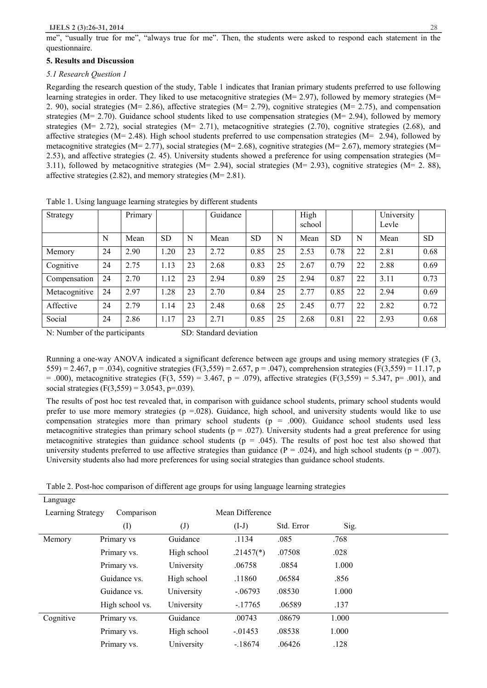me", "usually true for me", "always true for me". Then, the students were asked to respond each statement in the questionnaire.

### **5. Results and Discussion**

## *5.1 Research Question 1*

Regarding the research question of the study, Table 1 indicates that Iranian primary students preferred to use following learning strategies in order. They liked to use metacognitive strategies (M= 2.97), followed by memory strategies (M= 2. 90), social strategies (M= 2.86), affective strategies (M= 2.79), cognitive strategies (M= 2.75), and compensation strategies (M= 2.70). Guidance school students liked to use compensation strategies (M= 2.94), followed by memory strategies (M= 2.72), social strategies (M= 2.71), metacognitive strategies (2.70), cognitive strategies (2.68), and affective strategies (M= 2.48). High school students preferred to use compensation strategies (M=  $2.94$ ), followed by metacognitive strategies (M= 2.77), social strategies (M= 2.68), cognitive strategies (M= 2.67), memory strategies (M= 2.53), and affective strategies (2. 45). University students showed a preference for using compensation strategies (M= 3.11), followed by metacognitive strategies (M= 2.94), social strategies (M= 2.93), cognitive strategies (M= 2. 88), affective strategies (2.82), and memory strategies (M= 2.81).

| Strategy      |    | Primary |           |    | Guidance |           |    | High<br>school |           |    | University<br>Levle |           |
|---------------|----|---------|-----------|----|----------|-----------|----|----------------|-----------|----|---------------------|-----------|
|               | N  | Mean    | <b>SD</b> | N  | Mean     | <b>SD</b> | N  | Mean           | <b>SD</b> | N  | Mean                | <b>SD</b> |
| Memory        | 24 | 2.90    | 1.20      | 23 | 2.72     | 0.85      | 25 | 2.53           | 0.78      | 22 | 2.81                | 0.68      |
| Cognitive     | 24 | 2.75    | 1.13      | 23 | 2.68     | 0.83      | 25 | 2.67           | 0.79      | 22 | 2.88                | 0.69      |
| Compensation  | 24 | 2.70    | 1.12      | 23 | 2.94     | 0.89      | 25 | 2.94           | 0.87      | 22 | 3.11                | 0.73      |
| Metacognitive | 24 | 2.97    | 1.28      | 23 | 2.70     | 0.84      | 25 | 2.77           | 0.85      | 22 | 2.94                | 0.69      |
| Affective     | 24 | 2.79    | 1.14      | 23 | 2.48     | 0.68      | 25 | 2.45           | 0.77      | 22 | 2.82                | 0.72      |
| Social        | 24 | 2.86    | 1.17      | 23 | 2.71     | 0.85      | 25 | 2.68           | 0.81      | 22 | 2.93                | 0.68      |

Table 1. Using language learning strategies by different students

N: Number of the participants SD: Standard deviation

Running a one-way ANOVA indicated a significant deference between age groups and using memory strategies (F (3, 559) = 2.467, p = .034), cognitive strategies (F(3,559) = 2.657, p = .047), comprehension strategies (F(3,559) = 11.17, p  $= .000$ ), metacognitive strategies (F(3, 559) = 3.467, p = .079), affective strategies (F(3,559) = 5.347, p= .001), and social strategies (F(3,559) = 3.0543, p=.039).

The results of post hoc test revealed that, in comparison with guidance school students, primary school students would prefer to use more memory strategies ( $p = 0.028$ ). Guidance, high school, and university students would like to use compensation strategies more than primary school students ( $p = .000$ ). Guidance school students used less metacognitive strategies than primary school students ( $p = .027$ ). University students had a great preference for using metacognitive strategies than guidance school students ( $p = .045$ ). The results of post hoc test also showed that university students preferred to use affective strategies than guidance ( $P = .024$ ), and high school students ( $p = .007$ ). University students also had more preferences for using social strategies than guidance school students.

Table 2. Post-hoc comparison of different age groups for using language learning strategies

| Language                        |                 |                            |                 |            |       |  |
|---------------------------------|-----------------|----------------------------|-----------------|------------|-------|--|
| Learning Strategy<br>Comparison |                 |                            | Mean Difference |            |       |  |
|                                 | $\rm (I)$       | $\left( \mathrm{J}\right)$ | $(I-J)$         | Std. Error | Sig.  |  |
| Memory                          | Primary vs      | Guidance                   | .1134           | .085       | .768  |  |
|                                 | Primary vs.     | High school                | $.21457(*)$     | .07508     | .028  |  |
|                                 | Primary vs.     | University                 | .06758          | .0854      | 1.000 |  |
|                                 | Guidance vs.    | High school                | .11860          | .06584     | .856  |  |
|                                 | Guidance vs.    | University                 | $-.06793$       | .08530     | 1.000 |  |
|                                 | High school vs. | University                 | $-17765$        | .06589     | .137  |  |
| Cognitive                       | Primary vs.     | Guidance                   | .00743          | .08679     | 1.000 |  |
|                                 | Primary vs.     | High school                | $-0.01453$      | .08538     | 1.000 |  |
|                                 | Primary vs.     | University                 | $-.18674$       | .06426     | .128  |  |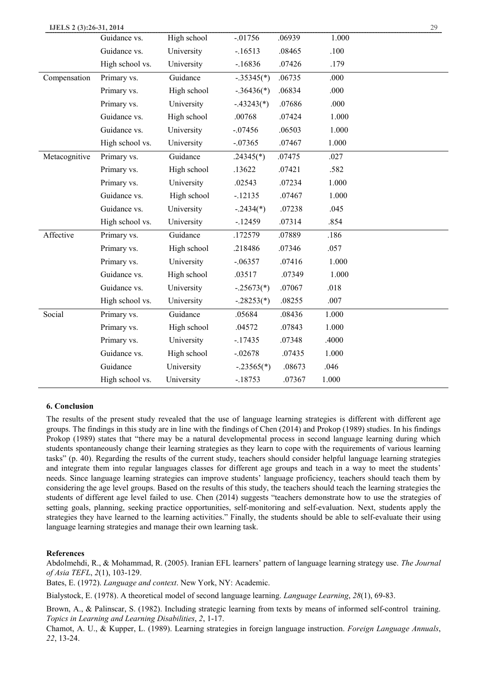| IJELS 2 (3):26-31, 2014 |                 |             |              |        |       | 29 |
|-------------------------|-----------------|-------------|--------------|--------|-------|----|
|                         | Guidance vs.    | High school | $-.01756$    | .06939 | 1.000 |    |
|                         | Guidance vs.    | University  | $-16513$     | .08465 | .100  |    |
|                         | High school vs. | University  | $-16836$     | .07426 | .179  |    |
| Compensation            | Primary vs.     | Guidance    | $-.35345(*)$ | .06735 | .000  |    |
|                         | Primary vs.     | High school | $-.36436(*)$ | .06834 | .000  |    |
|                         | Primary vs.     | University  | $-.43243(*)$ | .07686 | .000  |    |
|                         | Guidance vs.    | High school | .00768       | .07424 | 1.000 |    |
|                         | Guidance vs.    | University  | $-.07456$    | .06503 | 1.000 |    |
|                         | High school vs. | University  | $-.07365$    | .07467 | 1.000 |    |
| Metacognitive           | Primary vs.     | Guidance    | $.24345(*)$  | .07475 | .027  |    |
|                         | Primary vs.     | High school | .13622       | .07421 | .582  |    |
|                         | Primary vs.     | University  | .02543       | .07234 | 1.000 |    |
|                         | Guidance vs.    | High school | $-12135$     | .07467 | 1.000 |    |
|                         | Guidance vs.    | University  | $-.2434(*)$  | .07238 | .045  |    |
|                         | High school vs. | University  | $-12459$     | .07314 | .854  |    |
| Affective               | Primary vs.     | Guidance    | .172579      | .07889 | .186  |    |
|                         | Primary vs.     | High school | .218486      | .07346 | .057  |    |
|                         | Primary vs.     | University  | $-0.06357$   | .07416 | 1.000 |    |
|                         | Guidance vs.    | High school | .03517       | .07349 | 1.000 |    |
|                         | Guidance vs.    | University  | $-.25673(*)$ | .07067 | .018  |    |
|                         | High school vs. | University  | $-.28253(*)$ | .08255 | .007  |    |
| Social                  | Primary vs.     | Guidance    | .05684       | .08436 | 1.000 |    |
|                         | Primary vs.     | High school | .04572       | .07843 | 1.000 |    |
|                         | Primary vs.     | University  | $-17435$     | .07348 | .4000 |    |
|                         | Guidance vs.    | High school | $-.02678$    | .07435 | 1.000 |    |
|                         | Guidance        | University  | $-.23565(*)$ | .08673 | .046  |    |
|                         | High school vs. | University  | $-18753$     | .07367 | 1.000 |    |

# **6. Conclusion**

The results of the present study revealed that the use of language learning strategies is different with different age groups. The findings in this study are in line with the findings of Chen (2014) and Prokop (1989) studies. In his findings Prokop (1989) states that "there may be a natural developmental process in second language learning during which students spontaneously change their learning strategies as they learn to cope with the requirements of various learning tasks" (p. 40). Regarding the results of the current study, teachers should consider helpful language learning strategies and integrate them into regular languages classes for different age groups and teach in a way to meet the students' needs. Since language learning strategies can improve students' language proficiency, teachers should teach them by considering the age level groups. Based on the results of this study, the teachers should teach the learning strategies the students of different age level failed to use. Chen (2014) suggests "teachers demonstrate how to use the strategies of setting goals, planning, seeking practice opportunities, self-monitoring and self-evaluation. Next, students apply the strategies they have learned to the learning activities." Finally, the students should be able to self-evaluate their using language learning strategies and manage their own learning task.

# **References**

Abdolmehdi, R., & Mohammad, R. (2005). Iranian EFL learners' pattern of language learning strategy use. *The Journal of Asia TEFL*, *2*(1), 103-129.

Bates, E. (1972). *Language and context*. New York, NY: Academic.

Bialystock, E. (1978). A theoretical model of second language learning. *Language Learning*, *28*(1), 69-83.

Brown, A., & Palinscar, S. (1982). Including strategic learning from texts by means of informed self-control training. *Topics in Learning and Learning Disabilities*, *2*, 1-17.

Chamot, A. U., & Kupper, L. (1989). Learning strategies in foreign language instruction. *Foreign Language Annuals*, *22*, 13-24.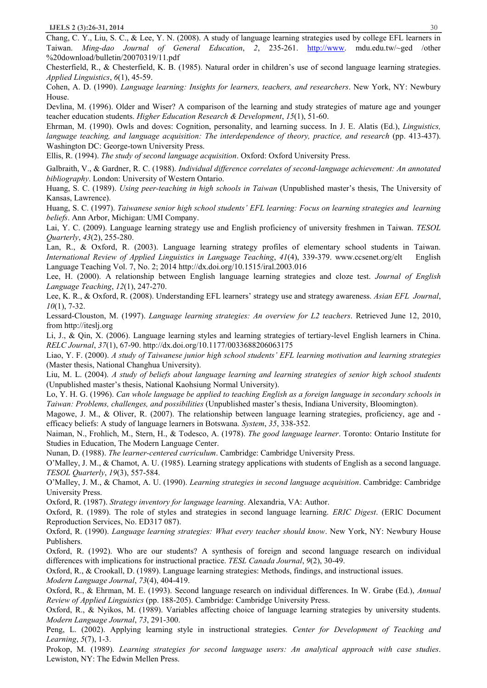Chang, C. Y., Liu, S. C., & Lee, Y. N. (2008). A study of language learning strategies used by college EFL learners in Taiwan. *Ming-dao Journal of General Education*, *2*, 235-261. http://www. mdu.edu.tw/~ged /other %20download/bulletin/20070319/11.pdf

Chesterfield, R., & Chesterfield, K. B. (1985). Natural order in children's use of second language learning strategies. *Applied Linguistics*, *6*(1), 45-59.

Cohen, A. D. (1990). *Language learning: Insights for learners, teachers, and researchers*. New York, NY: Newbury House.

Devlina, M. (1996). Older and Wiser? A comparison of the learning and study strategies of mature age and younger teacher education students. *Higher Education Research & Development*, *15*(1), 51-60.

Ehrman, M. (1990). Owls and doves: Cognition, personality, and learning success. In J. E. Alatis (Ed.), *Linguistics, language teaching, and language acquisition: The interdependence of theory, practice, and research* (pp. 413-437). Washington DC: George-town University Press.

Ellis, R. (1994). *The study of second language acquisition*. Oxford: Oxford University Press.

Galbraith, V., & Gardner, R. C. (1988). *Individual difference correlates of second-language achievement: An annotated bibliography*. London: University of Western Ontario.

Huang, S. C. (1989). *Using peer-teaching in high schools in Taiwan* (Unpublished master's thesis, The University of Kansas, Lawrence).

Huang, S. C. (1997). *Taiwanese senior high school students' EFL learning: Focus on learning strategies and learning beliefs*. Ann Arbor, Michigan: UMI Company.

Lai, Y. C. (2009). Language learning strategy use and English proficiency of university freshmen in Taiwan. *TESOL Quarterly*, *43*(2), 255-280.

Lan, R., & Oxford, R. (2003). Language learning strategy profiles of elementary school students in Taiwan. *International Review of Applied Linguistics in Language Teaching*, *41*(4), 339-379. www.ccsenet.org/elt English Language Teaching Vol. 7, No. 2; 2014 http://dx.doi.org/10.1515/iral.2003.016

Lee, H. (2000). A relationship between English language learning strategies and cloze test. *Journal of English Language Teaching*, *12*(1), 247-270.

Lee, K. R., & Oxford, R. (2008). Understanding EFL learners' strategy use and strategy awareness. *Asian EFL Journal*, *10*(1), 7-32.

Lessard-Clouston, M. (1997). *Language learning strategies: An overview for L2 teachers*. Retrieved June 12, 2010, from http://iteslj.org

Li, J., & Qin, X. (2006). Language learning styles and learning strategies of tertiary-level English learners in China. *RELC Journal*, *37*(1), 67-90. http://dx.doi.org/10.1177/0033688206063175

Liao, Y. F. (2000). *A study of Taiwanese junior high school students' EFL learning motivation and learning strategies*  (Master thesis, National Changhua University).

Liu, M. L. (2004). *A study of beliefs about language learning and learning strategies of senior high school students*  (Unpublished master's thesis, National Kaohsiung Normal University).

Lo, Y. H. G. (1996). Can whole language be applied to teaching English as a foreign language in secondary schools in *Taiwan: Problems, challenges, and possibilities* (Unpublished master's thesis, Indiana University, Bloomington).

Magowe, J. M., & Oliver, R. (2007). The relationship between language learning strategies, proficiency, age and efficacy beliefs: A study of language learners in Botswana. *System*, *35*, 338-352.

Naiman, N., Frohlich, M., Stern, H., & Todesco, A. (1978). *The good language learner*. Toronto: Ontario Institute for Studies in Education, The Modern Language Center.

Nunan, D. (1988). *The learner-centered curriculum*. Cambridge: Cambridge University Press.

O'Malley, J. M., & Chamot, A. U. (1985). Learning strategy applications with students of English as a second language. *TESOL Quarterly*, *19*(3), 557-584.

O'Malley, J. M., & Chamot, A. U. (1990). *Learning strategies in second language acquisition*. Cambridge: Cambridge University Press.

Oxford, R. (1987). *Strategy inventory for language learning*. Alexandria, VA: Author.

Oxford, R. (1989). The role of styles and strategies in second language learning. *ERIC Digest*. (ERIC Document Reproduction Services, No. ED317 087).

Oxford, R. (1990). *Language learning strategies: What every teacher should know*. New York, NY: Newbury House Publishers.

Oxford, R. (1992). Who are our students? A synthesis of foreign and second language research on individual differences with implications for instructional practice. *TESL Canada Journal*, *9*(2), 30-49.

Oxford, R., & Crookall, D. (1989). Language learning strategies: Methods, findings, and instructional issues.

*Modern Language Journal*, *73*(4), 404-419.

Oxford, R., & Ehrman, M. E. (1993). Second language research on individual differences. In W. Grabe (Ed.), *Annual Review of Applied Linguistics* (pp. 188-205). Cambridge: Cambridge University Press.

Oxford, R., & Nyikos, M. (1989). Variables affecting choice of language learning strategies by university students. *Modern Language Journal*, *73*, 291-300.

Peng, L. (2002). Applying learning style in instructional strategies. *Center for Development of Teaching and Learning*, *5*(7), 1-3.

Prokop, M. (1989). *Learning strategies for second language users: An analytical approach with case studies*. Lewiston, NY: The Edwin Mellen Press.